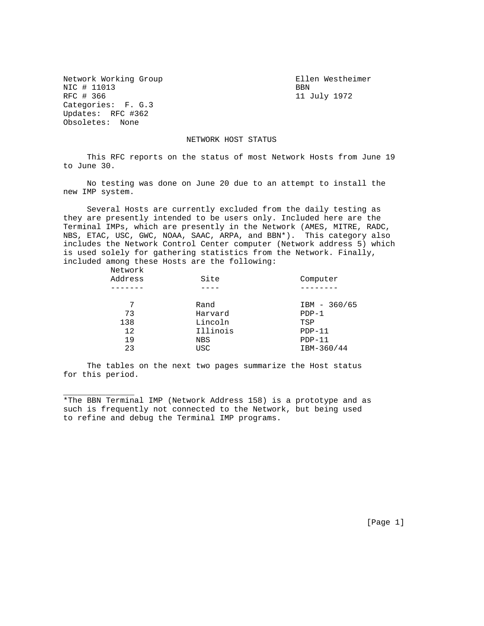Network Working Group Ellen Westheimer NIC # 11013 BBN BBN BBN BBN 11 Categories: F. G.3 Updates: RFC #362 Obsoletes: None

\_\_\_\_\_\_\_\_\_\_\_\_\_\_\_

11 July 1972

## NETWORK HOST STATUS

 This RFC reports on the status of most Network Hosts from June 19 to June 30.

 No testing was done on June 20 due to an attempt to install the new IMP system.

 Several Hosts are currently excluded from the daily testing as they are presently intended to be users only. Included here are the Terminal IMPs, which are presently in the Network (AMES, MITRE, RADC, NBS, ETAC, USC, GWC, NOAA, SAAC, ARPA, and BBN\*). This category also includes the Network Control Center computer (Network address 5) which is used solely for gathering statistics from the Network. Finally, included among these Hosts are the following:

| Network |            |                |
|---------|------------|----------------|
| Address | Site       | Computer       |
|         |            |                |
| 7       | Rand       | $IBM - 360/65$ |
| 73      | Harvard    | $PDF-1$        |
| 138     | Lincoln    | TSP            |
| 12      | Illinois   | $PDP-11$       |
| 19      | <b>NBS</b> | $PDP-11$       |
| 23      | <b>USC</b> | IBM-360/44     |
|         |            |                |

 The tables on the next two pages summarize the Host status for this period.

\*The BBN Terminal IMP (Network Address 158) is a prototype and as such is frequently not connected to the Network, but being used to refine and debug the Terminal IMP programs.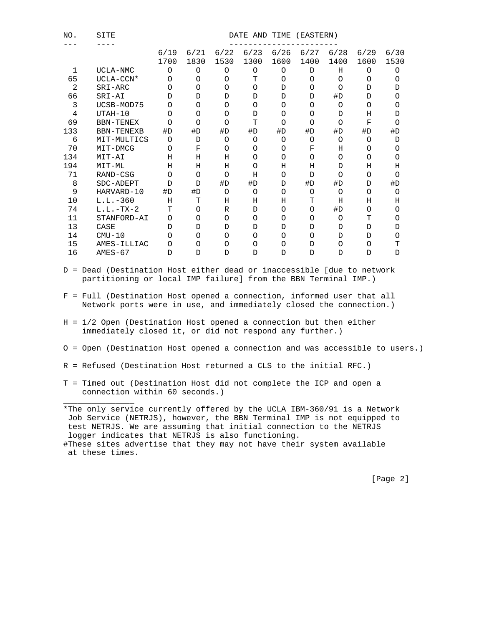| NO. | SITE<br>DATE AND<br>(EASTERN)<br>TIME |              |              |              |              |              |              |              |              |              |
|-----|---------------------------------------|--------------|--------------|--------------|--------------|--------------|--------------|--------------|--------------|--------------|
|     |                                       | 6/19<br>1700 | 6/21<br>1830 | 6/22<br>1530 | 6/23<br>1300 | 6/26<br>1600 | 6/27<br>1400 | 6/28<br>1400 | 6/29<br>1600 | 6/30<br>1530 |
| 1   | UCLA-NMC                              | O            | O            | $\circ$      | O            | $\circ$      | D            | Η            | O            | O            |
| 65  | UCLA-CCN*                             | $\Omega$     | O            | O            | T            | O            | O            | O            | O            | O            |
| 2   | SRI-ARC                               | $\Omega$     | $\circ$      | $\circ$      | $\circ$      | D            | $\circ$      | O            | D            | D            |
| 66  | SRI-AI                                | D            | D            | D            | D            | D            | D            | #D           | D            | $\Omega$     |
| 3   | UCSB-MOD75                            | $\Omega$     | $\Omega$     | $\Omega$     | $\circ$      | $\Omega$     | $\Omega$     | $\Omega$     | $\Omega$     | O            |
| 4   | $UTAH-10$                             | O            | $\Omega$     | $\Omega$     | D            | $\circ$      | $\Omega$     | D            | Н            | D            |
| 69  | <b>BBN-TENEX</b>                      | $\Omega$     | $\Omega$     | $\Omega$     | T            | $\circ$      | $\circ$      | $\Omega$     | F            | $\Omega$     |
| 133 | <b>BBN-TENEXB</b>                     | #D           | #D           | #D           | #D           | #D           | #D           | #D           | #D           | #D           |
| 6   | MIT-MULTICS                           | O            | D            | $\circ$      | $\circ$      | O            | O            | O            | O            | D            |
| 70  | MIT-DMCG                              | $\Omega$     | F            | O            | O            | O            | F            | Η            | $\Omega$     | O            |
| 134 | MIT-AI                                | H            | Η            | Η            | $\circ$      | $\circ$      | $\circ$      | $\Omega$     | $\Omega$     | $\Omega$     |
| 194 | MIT-ML                                | H            | Η            | Η            | O            | Η            | Η            | D            | Η            | Η            |
| 71  | RAND-CSG                              | $\Omega$     | $\Omega$     | $\Omega$     | Η            | $\Omega$     | D            | $\Omega$     | $\Omega$     | O            |
| 8   | SDC-ADEPT                             | $\mathsf{D}$ | D            | #D           | #D           | D            | #D           | #D           | D            | #D           |
| 9   | HARVARD-10                            | #D           | #D           | $\Omega$     | $\circ$      | $\circ$      | $\circ$      | $\Omega$     | $\Omega$     | $\Omega$     |
| 10  | $L.L.-360$                            | Η            | т            | Η            | Η            | Η            | т            | Η            | Н            | Η            |
| 74  | $L.L.-TX-2$                           | т            | $\Omega$     | R            | D            | $\Omega$     | $\Omega$     | #D           | O            | O            |
| 11  | STANFORD-AI                           | $\Omega$     | O            | $\circ$      | $\circ$      | $\circ$      | O            | O            | т            | $\Omega$     |
| 13  | CASE                                  | D            | D            | D            | D            | D            | D            | D            | D            | D            |
| 14  | $CMU-10$                              | $\Omega$     | $\Omega$     | $\Omega$     | O            | $\circ$      | O            | D            | D            | $\Omega$     |
| 15  | AMES-ILLIAC                           | $\Omega$     | O            | O            | $\circ$      | $\circ$      | D            | O            | O            | т            |
| 16  | $AMES-67$                             | $\mathsf{D}$ | D            | D            | D            | D            | D            | D            | D            | D            |

- D = Dead (Destination Host either dead or inaccessible [due to network partitioning or local IMP failure] from the BBN Terminal IMP.)
- F = Full (Destination Host opened a connection, informed user that all Network ports were in use, and immediately closed the connection.)
- H = 1/2 Open (Destination Host opened a connection but then either immediately closed it, or did not respond any further.)
- O = Open (Destination Host opened a connection and was accessible to users.)
- R = Refused (Destination Host returned a CLS to the initial RFC.)
- T = Timed out (Destination Host did not complete the ICP and open a connection within 60 seconds.)

\*The only service currently offered by the UCLA IBM-360/91 is a Network Job Service (NETRJS), however, the BBN Terminal IMP is not equipped to test NETRJS. We are assuming that initial connection to the NETRJS logger indicates that NETRJS is also functioning. #These sites advertise that they may not have their system available

at these times.

\_\_\_\_\_\_\_\_\_\_\_\_\_\_\_

[Page 2]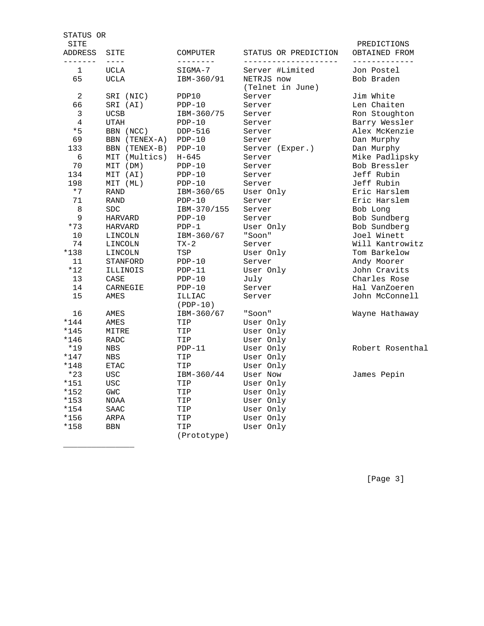| STATUS OR                 |                   |                      |                                      |                                               |
|---------------------------|-------------------|----------------------|--------------------------------------|-----------------------------------------------|
| SITE<br>ADDRESS<br>------ | SITE<br>$- - - -$ | COMPUTER<br>-------- | STATUS OR PREDICTION<br>------------ | PREDICTIONS<br>OBTAINED FROM<br>_____________ |
| 1                         | <b>UCLA</b>       | SIGMA-7              | Server #Limited                      | Jon Postel                                    |
| 65                        | <b>UCLA</b>       | IBM-360/91           | NETRJS now<br>(Telnet in June)       | Bob Braden                                    |
| 2                         | SRI (NIC)         | PDP10                | Server                               | Jim White                                     |
| 66                        | SRI (AI)          | $PDP-10$             | Server                               | Len Chaiten                                   |
| 3                         | <b>UCSB</b>       | IBM-360/75           | Server                               | Ron Stoughton                                 |
| 4                         | <b>UTAH</b>       | $PDP-10$             | Server                               | Barry Wessler                                 |
| $*5$                      | BBN (NCC)         | DDP-516              | Server                               | Alex McKenzie                                 |
| 69                        | BBN (TENEX-A)     | $PDP-10$             | Server                               | Dan Murphy                                    |
| 133                       | BBN (TENEX-B)     | $PDP-10$             | Server (Exper.)                      | Dan Murphy                                    |
| 6                         | MIT (Multics)     | $H - 645$            | Server                               | Mike Padlipsky                                |
| 70                        | MIT (DM)          | $PDP-10$             | Server                               | Bob Bressler                                  |
| 134                       | MIT (AI)          | $PDP-10$             | Server                               | Jeff Rubin                                    |
| 198                       | MIT (ML)          | $PDP-10$             | Server                               | Jeff Rubin                                    |
| $*7$                      | ${\tt RAND}$      | IBM-360/65           | User Only                            | Eric Harslem                                  |
| 71                        | RAND              | $PDP-10$             | Server                               | Eric Harslem                                  |
| 8                         | SDC               | IBM-370/155          | Server                               | Bob Long                                      |
| 9                         | <b>HARVARD</b>    | $PDP-10$             | Server                               | Bob Sundberg                                  |
| $*73$                     | HARVARD           | $PDP-1$              | User Only                            | Bob Sundberg                                  |
| 10                        | LINCOLN           | IBM-360/67           | "Soon"                               | Joel Winett                                   |
| 74                        | LINCOLN           | $TX-2$               | Server                               | Will Kantrowitz                               |
| $*138$                    | LINCOLN           | TSP                  | User Only                            | Tom Barkelow                                  |
| 11                        | STANFORD          | $PDP-10$             | Server                               | Andy Moorer                                   |
| $*12$                     | ILLINOIS          | $PDP-11$             | User Only                            | John Cravits                                  |
| 13                        | CASE              | $PDP-10$             | July                                 | Charles Rose                                  |
| 14                        | CARNEGIE          | $PDP-10$             | Server                               | Hal VanZoeren                                 |
| 15                        | AMES              | ILLIAC<br>$(PDP-10)$ | Server                               | John McConnell                                |
| 16                        | AMES              | IBM-360/67           | "Soon"                               | Wayne Hathaway                                |
| *144                      | AMES              | TIP                  | User Only                            |                                               |
| *145                      | MITRE             | TIP                  | User Only                            |                                               |
| $*146$                    | RADC              | TIP                  | User Only                            |                                               |
| $*19$                     | NBS               | $PDP-11$             | User Only                            | Robert Rosenthal                              |
| *147                      | NBS               | TIP                  | User Only                            |                                               |
| $*148$                    | <b>ETAC</b>       | TIP                  | User Only                            |                                               |
| $*23$                     | <b>USC</b>        | IBM-360/44           | User Now                             | James Pepin                                   |
| *151                      | <b>USC</b>        | TIP                  | User Only                            |                                               |
| *152                      | <b>GWC</b>        | TIP                  | User Only                            |                                               |
| *153                      | NOAA              | TIP                  | User Only                            |                                               |
| *154                      | SAAC              | TIP                  | User Only                            |                                               |
| *156                      | ARPA              | TIP                  | User Only                            |                                               |
| *158                      | <b>BBN</b>        | TIP<br>(Prototype)   | User Only                            |                                               |

\_\_\_\_\_\_\_\_\_\_\_\_\_\_\_

[Page 3]